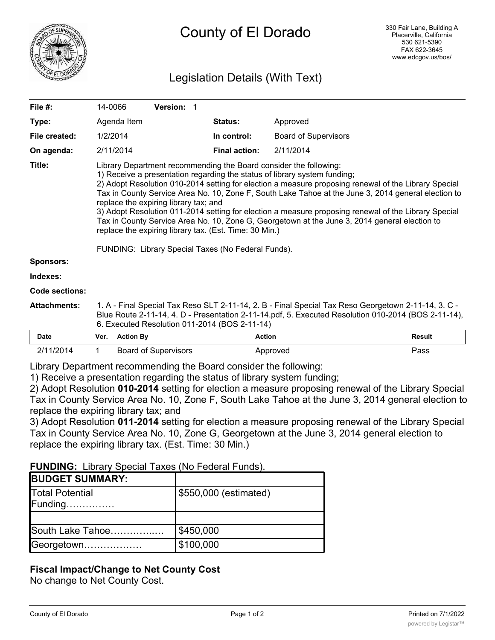

# Legislation Details (With Text)

| File $#$ :          | 14-0066                                                                                                                                                                                                                                                                                                                                                                                                                                                                                                                                                                                                                                                                                                                         | <b>Version: 1</b> |                      |                             |  |
|---------------------|---------------------------------------------------------------------------------------------------------------------------------------------------------------------------------------------------------------------------------------------------------------------------------------------------------------------------------------------------------------------------------------------------------------------------------------------------------------------------------------------------------------------------------------------------------------------------------------------------------------------------------------------------------------------------------------------------------------------------------|-------------------|----------------------|-----------------------------|--|
| Type:               | Agenda Item                                                                                                                                                                                                                                                                                                                                                                                                                                                                                                                                                                                                                                                                                                                     |                   | <b>Status:</b>       | Approved                    |  |
| File created:       | 1/2/2014                                                                                                                                                                                                                                                                                                                                                                                                                                                                                                                                                                                                                                                                                                                        |                   | In control:          | <b>Board of Supervisors</b> |  |
| On agenda:          | 2/11/2014                                                                                                                                                                                                                                                                                                                                                                                                                                                                                                                                                                                                                                                                                                                       |                   | <b>Final action:</b> | 2/11/2014                   |  |
| Title:              | Library Department recommending the Board consider the following:<br>1) Receive a presentation regarding the status of library system funding;<br>2) Adopt Resolution 010-2014 setting for election a measure proposing renewal of the Library Special<br>Tax in County Service Area No. 10, Zone F, South Lake Tahoe at the June 3, 2014 general election to<br>replace the expiring library tax; and<br>3) Adopt Resolution 011-2014 setting for election a measure proposing renewal of the Library Special<br>Tax in County Service Area No. 10, Zone G, Georgetown at the June 3, 2014 general election to<br>replace the expiring library tax. (Est. Time: 30 Min.)<br>FUNDING: Library Special Taxes (No Federal Funds). |                   |                      |                             |  |
| <b>Sponsors:</b>    |                                                                                                                                                                                                                                                                                                                                                                                                                                                                                                                                                                                                                                                                                                                                 |                   |                      |                             |  |
| Indexes:            |                                                                                                                                                                                                                                                                                                                                                                                                                                                                                                                                                                                                                                                                                                                                 |                   |                      |                             |  |
| Code sections:      |                                                                                                                                                                                                                                                                                                                                                                                                                                                                                                                                                                                                                                                                                                                                 |                   |                      |                             |  |
| <b>Attachments:</b> | 1. A - Final Special Tax Reso SLT 2-11-14, 2. B - Final Special Tax Reso Georgetown 2-11-14, 3. C -<br>Blue Route 2-11-14, 4. D - Presentation 2-11-14.pdf, 5. Executed Resolution 010-2014 (BOS 2-11-14),<br>6. Executed Resolution 011-2014 (BOS 2-11-14)                                                                                                                                                                                                                                                                                                                                                                                                                                                                     |                   |                      |                             |  |

| Date      | Ver. | <b>Action By</b>     | Action   | <b>Result</b> |
|-----------|------|----------------------|----------|---------------|
| 2/11/2014 |      | Board of Supervisors | Approved | Pass          |

Library Department recommending the Board consider the following:

1) Receive a presentation regarding the status of library system funding;

2) Adopt Resolution **010-2014** setting for election a measure proposing renewal of the Library Special Tax in County Service Area No. 10, Zone F, South Lake Tahoe at the June 3, 2014 general election to replace the expiring library tax; and

3) Adopt Resolution **011-2014** setting for election a measure proposing renewal of the Library Special Tax in County Service Area No. 10, Zone G, Georgetown at the June 3, 2014 general election to replace the expiring library tax. (Est. Time: 30 Min.)

## **FUNDING:** Library Special Taxes (No Federal Funds).

| <b>BUDGET SUMMARY:</b>     |                       |  |
|----------------------------|-----------------------|--|
| Total Potential<br>Funding | \$550,000 (estimated) |  |
|                            |                       |  |
| South Lake Tahoe           | \$450,000             |  |
| Georgetown                 | \$100,000             |  |

# **Fiscal Impact/Change to Net County Cost**

No change to Net County Cost.